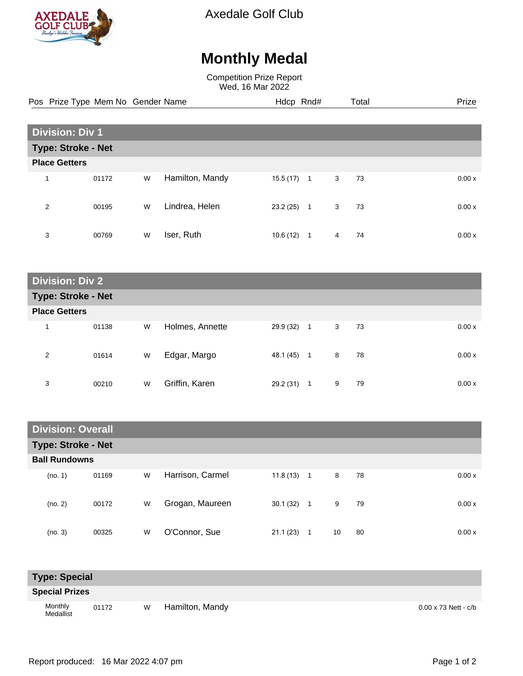

Axedale Golf Club

# **Monthly Medal**

Competition Prize Report Wed, 16 Mar 2022

| Pos Prize Type Mem No Gender Name |                           |       |   |                 | Hdcp Rnd# |                |   | Total | Prize |  |  |
|-----------------------------------|---------------------------|-------|---|-----------------|-----------|----------------|---|-------|-------|--|--|
|                                   | <b>Division: Div 1</b>    |       |   |                 |           |                |   |       |       |  |  |
|                                   | <b>Type: Stroke - Net</b> |       |   |                 |           |                |   |       |       |  |  |
|                                   | <b>Place Getters</b>      |       |   |                 |           |                |   |       |       |  |  |
| $\overline{ }$                    |                           | 01172 | W | Hamilton, Mandy | 15.5(17)  | $\overline{1}$ | 3 | 73    | 0.00x |  |  |
| 2                                 |                           | 00195 | W | Lindrea, Helen  | 23.2(25)  | $\mathbf{1}$   | 3 | 73    | 0.00x |  |  |
| 3                                 |                           | 00769 | W | Iser, Ruth      | 10.6(12)  | $\overline{1}$ | 4 | 74    | 0.00x |  |  |

|                           | <b>Division: Div 2</b> |   |                 |              |              |                      |       |  |  |  |  |  |  |
|---------------------------|------------------------|---|-----------------|--------------|--------------|----------------------|-------|--|--|--|--|--|--|
| <b>Type: Stroke - Net</b> |                        |   |                 |              |              |                      |       |  |  |  |  |  |  |
| <b>Place Getters</b>      |                        |   |                 |              |              |                      |       |  |  |  |  |  |  |
| 1                         | 01138                  | W | Holmes, Annette | $29.9(32)$ 1 |              | 3 <sup>1</sup><br>73 | 0.00x |  |  |  |  |  |  |
| 2                         | 01614                  | W | Edgar, Margo    | 48.1 (45)    | $\mathbf{1}$ | 8<br>78              | 0.00x |  |  |  |  |  |  |
| 3                         | 00210                  | W | Griffin, Karen  | 29.2 (31)    | 1            | 79<br>9              | 0.00x |  |  |  |  |  |  |

|                           | <b>Division: Overall</b> |   |                  |          |                |    |    |  |        |  |  |  |
|---------------------------|--------------------------|---|------------------|----------|----------------|----|----|--|--------|--|--|--|
| <b>Type: Stroke - Net</b> |                          |   |                  |          |                |    |    |  |        |  |  |  |
| <b>Ball Rundowns</b>      |                          |   |                  |          |                |    |    |  |        |  |  |  |
| (no. 1)                   | 01169                    | W | Harrison, Carmel | 11.8(13) | $\overline{1}$ | 8  | 78 |  | 0.00 x |  |  |  |
| (no. 2)                   | 00172                    | W | Grogan, Maureen  | 30.1(32) | $\overline{1}$ | 9  | 79 |  | 0.00x  |  |  |  |
| (no. 3)                   | 00325                    | W | O'Connor, Sue    | 21.1(23) | 1              | 10 | 80 |  | 0.00x  |  |  |  |

| <b>Type: Special</b>  |       |   |                 |                             |
|-----------------------|-------|---|-----------------|-----------------------------|
| <b>Special Prizes</b> |       |   |                 |                             |
| Monthly<br>Medallist  | 01172 | W | Hamilton, Mandy | $0.00 \times 73$ Nett - c/b |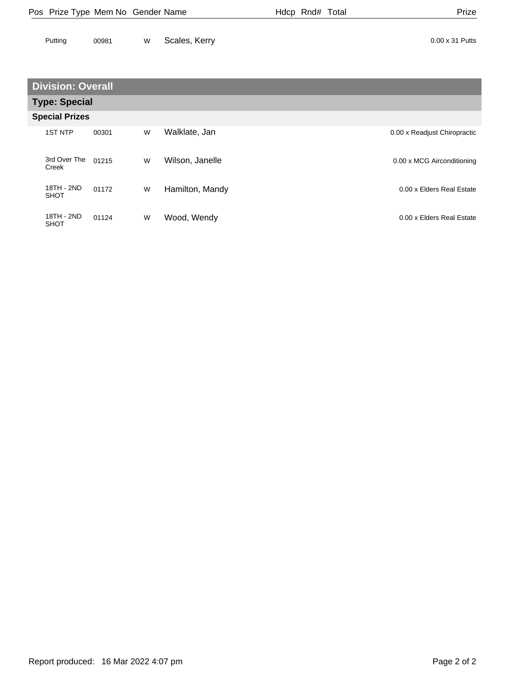| Pos Prize Type Mem No Gender Name | Hdcp Rnd# Total | Prize |
|-----------------------------------|-----------------|-------|
|                                   |                 |       |

| Putting | 00981 | w Scales, Kerry | 0.00 x 31 Putts |
|---------|-------|-----------------|-----------------|
|         |       |                 |                 |

### **Division: Overall**

| <b>Type: Special</b>      |       |   |                 |                              |
|---------------------------|-------|---|-----------------|------------------------------|
| <b>Special Prizes</b>     |       |   |                 |                              |
| <b>1ST NTP</b>            | 00301 | W | Walklate, Jan   | 0.00 x Readjust Chiropractic |
| 3rd Over The<br>Creek     | 01215 | W | Wilson, Janelle | 0.00 x MCG Airconditioning   |
| 18TH - 2ND<br><b>SHOT</b> | 01172 | W | Hamilton, Mandy | 0.00 x Elders Real Estate    |
| 18TH - 2ND<br><b>SHOT</b> | 01124 | W | Wood, Wendy     | 0.00 x Elders Real Estate    |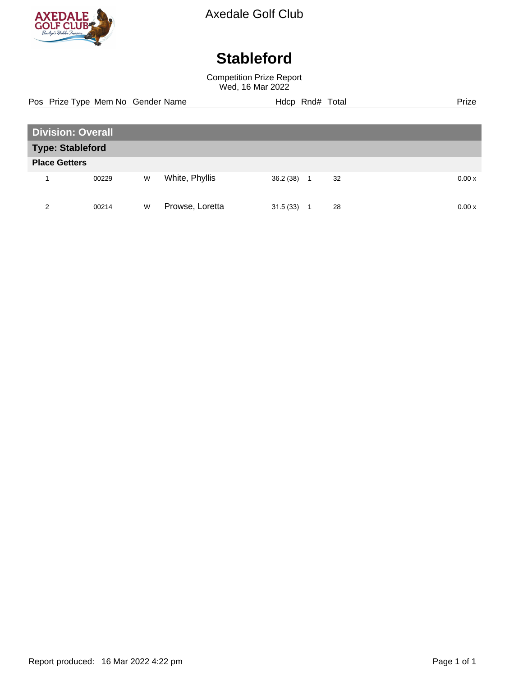

Axedale Golf Club

# **Stableford**

Competition Prize Report Wed, 16 Mar 2022

**Division: Overall Type: Stableford Place Getters** 1 00229 W White, Phyllis 36.2 (38) 1 32 0.00 x 2 00214 W Prowse, Loretta 31.5 (33) 1 28 0.00 x Pos Prize Type Mem No Gender Name **Heath Hotel Hotel Rnd# Total** Prize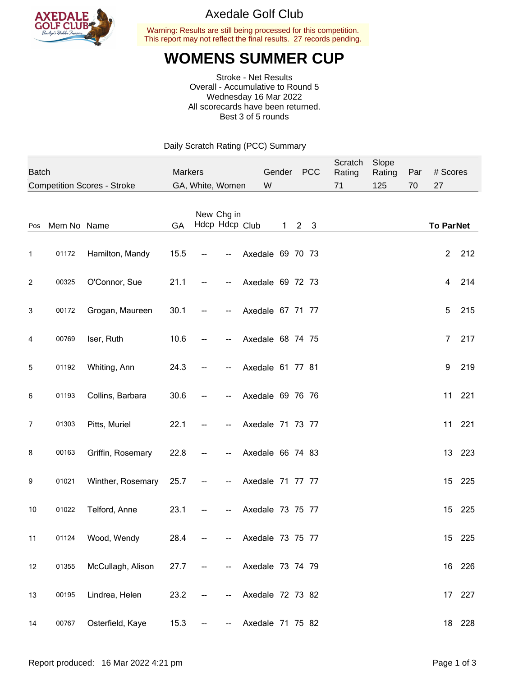

#### Axedale Golf Club

Warning: Results are still being processed for this competition. This report may not reflect the final results. 27 records pending.

## **WOMENS SUMMER CUP**

Stroke - Net Results Overall - Accumulative to Round 5 Wednesday 16 Mar 2022 All scorecards have been returned. Best 3 of 5 rounds

Daily Scratch Rating (PCC) Summary

| <b>Batch</b> |             |                                    | <b>Markers</b> |  |                              | Gender           | <b>PCC</b> | Scratch<br>Rating | Slope<br>Rating | Par | # Scores |                  |        |
|--------------|-------------|------------------------------------|----------------|--|------------------------------|------------------|------------|-------------------|-----------------|-----|----------|------------------|--------|
|              |             | <b>Competition Scores - Stroke</b> |                |  | GA, White, Women             | W                |            |                   | 71              | 125 | 70       | 27               |        |
| Pos          | Mem No Name |                                    | GA             |  | New Chg in<br>Hdcp Hdcp Club |                  | 1          | 2 <sub>3</sub>    |                 |     |          | <b>To ParNet</b> |        |
| 1            | 01172       | Hamilton, Mandy                    | 15.5           |  |                              | Axedale 69 70 73 |            |                   |                 |     |          | $\overline{c}$   | 212    |
| 2            | 00325       | O'Connor, Sue                      | 21.1           |  |                              | Axedale 69 72 73 |            |                   |                 |     |          | 4                | 214    |
| 3            | 00172       | Grogan, Maureen                    | 30.1           |  |                              | Axedale 67 71 77 |            |                   |                 |     |          | 5                | 215    |
| 4            | 00769       | Iser, Ruth                         | 10.6           |  |                              | Axedale 68 74 75 |            |                   |                 |     |          | 7                | 217    |
| 5            | 01192       | Whiting, Ann                       | 24.3           |  |                              | Axedale 61 77 81 |            |                   |                 |     |          | 9                | 219    |
| 6            | 01193       | Collins, Barbara                   | 30.6           |  |                              | Axedale 69 76 76 |            |                   |                 |     |          | 11               | 221    |
| 7            | 01303       | Pitts, Muriel                      | 22.1           |  |                              | Axedale 71 73 77 |            |                   |                 |     |          | 11               | 221    |
| 8            | 00163       | Griffin, Rosemary                  | 22.8           |  |                              | Axedale 66 74 83 |            |                   |                 |     |          |                  | 13 223 |
| 9            | 01021       | Winther, Rosemary                  | 25.7           |  |                              | Axedale 71 77 77 |            |                   |                 |     |          | 15               | 225    |
| 10           | 01022       | Telford, Anne                      | 23.1           |  |                              | Axedale 73 75 77 |            |                   |                 |     |          |                  | 15 225 |
| 11           | 01124       | Wood, Wendy                        | 28.4           |  |                              | Axedale 73 75 77 |            |                   |                 |     |          | 15               | 225    |
| 12           | 01355       | McCullagh, Alison                  | 27.7           |  |                              | Axedale 73 74 79 |            |                   |                 |     |          |                  | 16 226 |
| 13           | 00195       | Lindrea, Helen                     | 23.2           |  |                              | Axedale 72 73 82 |            |                   |                 |     |          | 17               | 227    |
| 14           | 00767       | Osterfield, Kaye                   | 15.3           |  |                              | Axedale 71 75 82 |            |                   |                 |     |          |                  | 18 228 |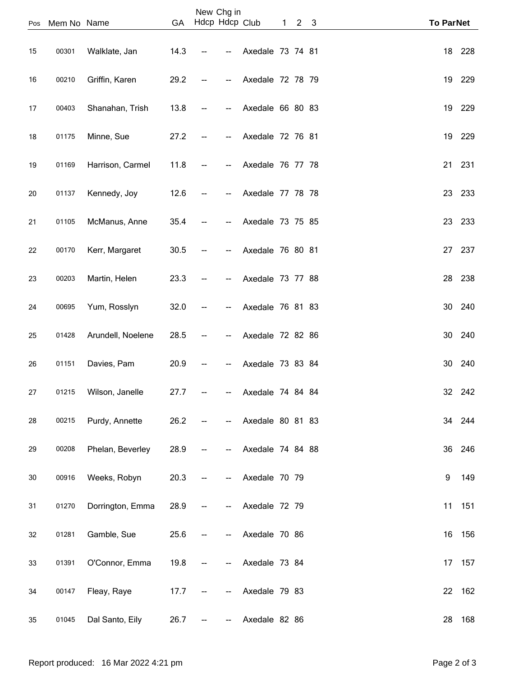| Pos    | Mem No Name |                       | GA   |    | New Chg in<br>Hdcp Hdcp Club |                  | $\mathbf{1}$ | 2 <sub>3</sub> | <b>To ParNet</b> |    |        |
|--------|-------------|-----------------------|------|----|------------------------------|------------------|--------------|----------------|------------------|----|--------|
| 15     | 00301       | Walklate, Jan         | 14.3 |    | --                           | Axedale 73 74 81 |              |                |                  |    | 18 228 |
| 16     | 00210       | Griffin, Karen        | 29.2 |    | --                           | Axedale 72 78 79 |              |                |                  | 19 | 229    |
| 17     | 00403       | Shanahan, Trish       | 13.8 |    |                              | Axedale 66 80 83 |              |                |                  |    | 19 229 |
| 18     | 01175       | Minne, Sue            | 27.2 |    |                              | Axedale 72 76 81 |              |                |                  | 19 | 229    |
| 19     | 01169       | Harrison, Carmel      | 11.8 | -- | --                           | Axedale 76 77 78 |              |                |                  |    | 21 231 |
| 20     | 01137       | Kennedy, Joy          | 12.6 |    | --                           | Axedale 77 78 78 |              |                |                  | 23 | 233    |
| 21     | 01105       | McManus, Anne         | 35.4 |    | --                           | Axedale 73 75 85 |              |                |                  | 23 | 233    |
| 22     | 00170       | Kerr, Margaret        | 30.5 |    |                              | Axedale 76 80 81 |              |                |                  | 27 | 237    |
| 23     | 00203       | Martin, Helen         | 23.3 |    |                              | Axedale 73 77 88 |              |                |                  | 28 | 238    |
| 24     | 00695       | Yum, Rosslyn          | 32.0 | -- | --                           | Axedale 76 81 83 |              |                |                  | 30 | 240    |
| 25     | 01428       | Arundell, Noelene     | 28.5 |    |                              | Axedale 72 82 86 |              |                |                  | 30 | 240    |
| 26     | 01151       | Davies, Pam           | 20.9 |    |                              | Axedale 73 83 84 |              |                |                  | 30 | 240    |
| 27     |             | 01215 Wilson, Janelle | 27.7 |    | ₩.                           | Axedale 74 84 84 |              |                |                  |    | 32 242 |
| 28     | 00215       | Purdy, Annette        | 26.2 |    | --                           | Axedale 80 81 83 |              |                |                  |    | 34 244 |
| 29     | 00208       | Phelan, Beverley      | 28.9 |    |                              | Axedale 74 84 88 |              |                |                  |    | 36 246 |
| $30\,$ | 00916       | Weeks, Robyn          | 20.3 |    |                              | Axedale 70 79    |              |                |                  | 9  | 149    |
| 31     | 01270       | Dorrington, Emma      | 28.9 |    | --                           | Axedale 72 79    |              |                |                  | 11 | 151    |
| 32     | 01281       | Gamble, Sue           | 25.6 |    |                              |                  |              |                |                  | 16 | 156    |
|        |             |                       |      |    |                              | Axedale 70 86    |              |                |                  |    |        |
| 33     | 01391       | O'Connor, Emma        | 19.8 |    |                              | Axedale 73 84    |              |                |                  | 17 | 157    |
| 34     | 00147       | Fleay, Raye           | 17.7 |    |                              | Axedale 79 83    |              |                |                  |    | 22 162 |
| 35     | 01045       | Dal Santo, Eily       | 26.7 |    |                              | Axedale 82 86    |              |                |                  | 28 | 168    |